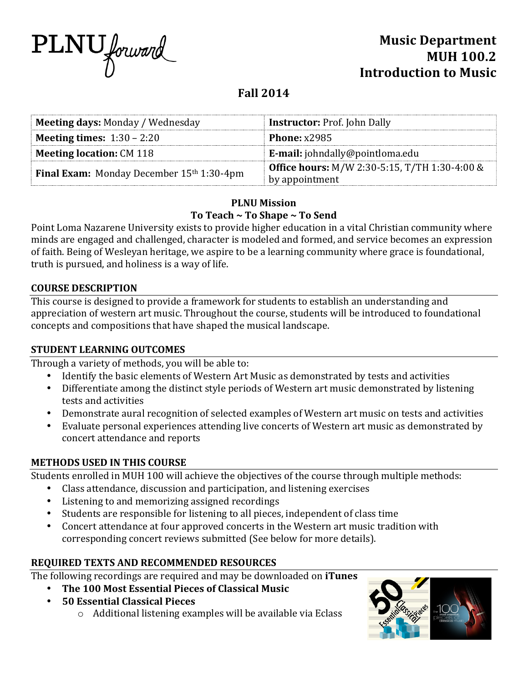

# **Fall 2014**

| <b>Meeting days: Monday / Wednesday</b>                      | <b>Instructor: Prof. John Dally</b>                                    |  |
|--------------------------------------------------------------|------------------------------------------------------------------------|--|
| <b>Meeting times:</b> $1:30 - 2:20$                          | Phone: $x2985$                                                         |  |
| <b>Meeting location: CM 118</b>                              | E-mail: johndally@pointloma.edu                                        |  |
| <b>Final Exam:</b> Monday December 15 <sup>th</sup> 1:30-4pm | <b>Office hours:</b> M/W 2:30-5:15, T/TH 1:30-4:00 &<br>by appointment |  |
|                                                              |                                                                        |  |

### **PLNU Mission** To Teach ~ To Shape ~ To Send

Point Loma Nazarene University exists to provide higher education in a vital Christian community where minds are engaged and challenged, character is modeled and formed, and service becomes an expression of faith. Being of Wesleyan heritage, we aspire to be a learning community where grace is foundational, truth is pursued, and holiness is a way of life.

### **COURSE DESCRIPTION**

This course is designed to provide a framework for students to establish an understanding and appreciation of western art music. Throughout the course, students will be introduced to foundational concepts and compositions that have shaped the musical landscape.

# **STUDENT LEARNING OUTCOMES**

Through a variety of methods, you will be able to:

- Identify the basic elements of Western Art Music as demonstrated by tests and activities
- Differentiate among the distinct style periods of Western art music demonstrated by listening tests and activities
- Demonstrate aural recognition of selected examples of Western art music on tests and activities
- Evaluate personal experiences attending live concerts of Western art music as demonstrated by concert attendance and reports

# **METHODS USED IN THIS COURSE**

Students enrolled in MUH 100 will achieve the objectives of the course through multiple methods:

- Class attendance, discussion and participation, and listening exercises
- Listening to and memorizing assigned recordings
- Students are responsible for listening to all pieces, independent of class time
- Concert attendance at four approved concerts in the Western art music tradition with corresponding concert reviews submitted (See below for more details).

# **REQUIRED TEXTS AND RECOMMENDED RESOURCES**

The following recordings are required and may be downloaded on *iTunes* 

- **The 100 Most Essential Pieces of Classical Music**
- **50 Essential Classical Pieces** 
	- $\circ$  Additional listening examples will be available via Eclass

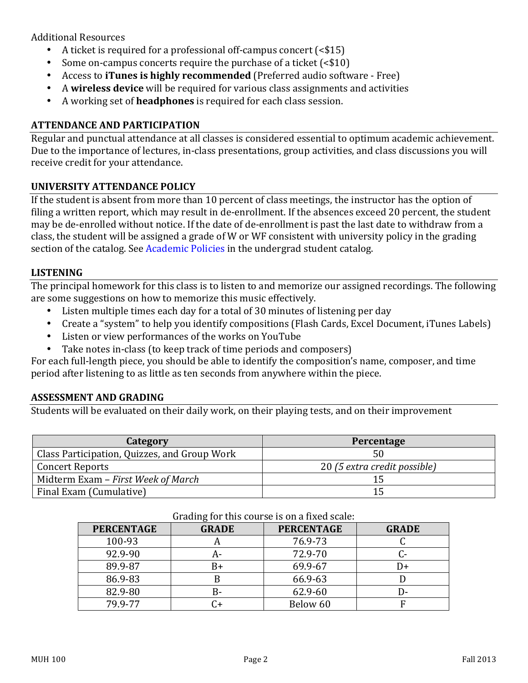Additional Resources

- A ticket is required for a professional off-campus concert  $\leq$  15)
- Some on-campus concerts require the purchase of a ticket  $\leq 10$
- Access to **iTunes is highly recommended** (Preferred audio software Free)
- A **wireless device** will be required for various class assignments and activities
- A working set of **headphones** is required for each class session.

#### **ATTENDANCE AND PARTICIPATION**

Regular and punctual attendance at all classes is considered essential to optimum academic achievement. Due to the importance of lectures, in-class presentations, group activities, and class discussions you will receive credit for your attendance.

#### **UNIVERSITY ATTENDANCE POLICY**

If the student is absent from more than 10 percent of class meetings, the instructor has the option of filing a written report, which may result in de-enrollment. If the absences exceed 20 percent, the student may be de-enrolled without notice. If the date of de-enrollment is past the last date to withdraw from a class, the student will be assigned a grade of W or WF consistent with university policy in the grading section of the catalog. See Academic Policies in the undergrad student catalog.

#### **LISTENING**

The principal homework for this class is to listen to and memorize our assigned recordings. The following are some suggestions on how to memorize this music effectively.

- Listen multiple times each day for a total of 30 minutes of listening per day
- Create a "system" to help you identify compositions (Flash Cards, Excel Document, iTunes Labels)
- Listen or view performances of the works on YouTube
- Take notes in-class (to keep track of time periods and composers)

For each full-length piece, you should be able to identify the composition's name, composer, and time period after listening to as little as ten seconds from anywhere within the piece.

#### **ASSESSMENT AND GRADING**

Students will be evaluated on their daily work, on their playing tests, and on their improvement

| Category                                     | Percentage                   |  |
|----------------------------------------------|------------------------------|--|
| Class Participation, Quizzes, and Group Work |                              |  |
| Concert Reports                              | 20 (5 extra credit possible) |  |
| Midterm Exam – First Week of March           |                              |  |
| Final Exam (Cumulative)                      |                              |  |

#### Grading for this course is on a fixed scale:

| <b>PERCENTAGE</b> | <b>GRADE</b> | <b>PERCENTAGE</b> | <b>GRADE</b> |
|-------------------|--------------|-------------------|--------------|
| 100-93            | n            | 76.9-73           |              |
| 92.9-90           | А-           | 72.9-70           |              |
| 89.9-87           | B+           | 69.9-67           |              |
| 86.9-83           |              | 66.9-63           |              |
| 82.9-80           | В-           | 62.9-60           | l ) –        |
| 79.9-77           | Դ+           | Below 60          |              |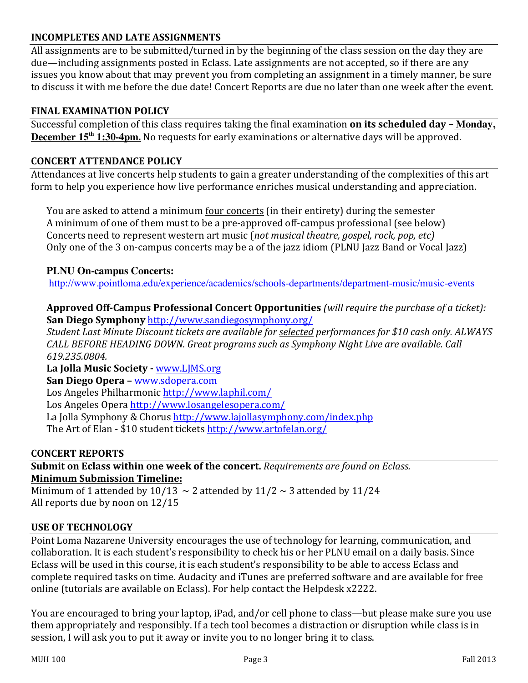# **INCOMPLETES AND LATE ASSIGNMENTS**

All assignments are to be submitted/turned in by the beginning of the class session on the day they are due—including assignments posted in Eclass. Late assignments are not accepted, so if there are any issues you know about that may prevent you from completing an assignment in a timely manner, be sure to discuss it with me before the due date! Concert Reports are due no later than one week after the event.

### **FINAL EXAMINATION POLICY**

Successful completion of this class requires taking the final examination **on its scheduled day - Monday, December 15<sup>th</sup> 1:30-4pm.** No requests for early examinations or alternative days will be approved.

#### **CONCERT ATTENDANCE POLICY**

Attendances at live concerts help students to gain a greater understanding of the complexities of this art form to help you experience how live performance enriches musical understanding and appreciation.

You are asked to attend a minimum four concerts (in their entirety) during the semester A minimum of one of them must to be a pre-approved off-campus professional (see below) Concerts need to represent western art music (*not musical theatre, gospel, rock, pop, etc*) Only one of the 3 on-campus concerts may be a of the jazz idiom (PLNU Jazz Band or Vocal Jazz)

#### **PLNU On-campus Concerts:**

http://www.pointloma.edu/experience/academics/schools-departments/department-music/music-events

**Approved Off-Campus Professional Concert Opportunities** *(will require the purchase of a ticket):* **San Diego Symphony** http://www.sandiegosymphony.org/

*Student Last Minute Discount tickets are available for selected performances for \$10 cash only. ALWAYS CALL BEFORE HEADING DOWN. Great programs such as Symphony Night Live are available. Call 619.235.0804.*

La Jolla Music Society - www.LJMS.org **San Diego Opera – www.sdopera.com** Los Angeles Philharmonic http://www.laphil.com/ Los Angeles Opera http://www.losangelesopera.com/ La Jolla Symphony & Chorus http://www.lajollasymphony.com/index.php The Art of Elan - \$10 student tickets http://www.artofelan.org/

#### **CONCERT REPORTS**

**Submit on Eclass within one week of the concert.** Requirements are found on Eclass. **Minimum Submission Timeline:** 

Minimum of 1 attended by  $10/13 \sim 2$  attended by  $11/2 \sim 3$  attended by 11/24 All reports due by noon on 12/15

# **USE OF TECHNOLOGY**

Point Loma Nazarene University encourages the use of technology for learning, communication, and collaboration. It is each student's responsibility to check his or her PLNU email on a daily basis. Since Eclass will be used in this course, it is each student's responsibility to be able to access Eclass and complete required tasks on time. Audacity and iTunes are preferred software and are available for free online (tutorials are available on Eclass). For help contact the Helpdesk x2222.

You are encouraged to bring your laptop, iPad, and/or cell phone to class—but please make sure you use them appropriately and responsibly. If a tech tool becomes a distraction or disruption while class is in session, I will ask you to put it away or invite you to no longer bring it to class.